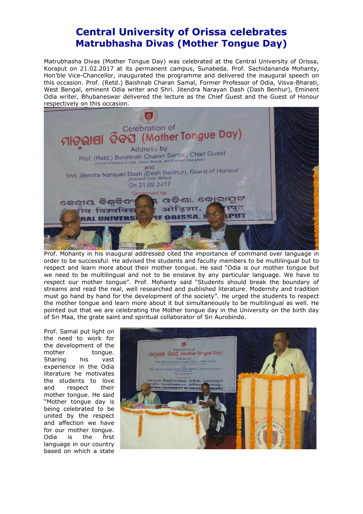## **Central University of Orissa celebrates Matrubhasha Divas (Mother Tongue Day)**

Matrubhasha Divas (Mother Tongue Day) was celebrated at the Central University of Orissa, Koraput on 21.02.2017 at its permanent campus, Sunabeda. Prof. Sachidananda Mohanty, Hon'ble Vice-Chancellor, inaugurated the programme and delivered the inaugural speech on this occasion. Prof. (Retd.) Baishnab Charan Samal, Former Professor of Odia, Visva-Bharati, West Bengal, eminent Odia writer and Shri. Jitendra Narayan Dash (Dash Benhur), Eminent Odia writer, Bhubaneswar delivered the lecture as the Chief Guest and the Guest of Honour respectively on this occasion.



Prof. Mohanty in his inaugural addressed cited the importance of command over language in order to be successful. He advised the students and faculty members to be multilingual but to respect and learn more about their mother tongue. He said "Odia is our mother tongue but we need to be multilingual and not to be enslave by any particular language. We have to respect our mother tongue". Prof. Mohanty said "Students should break the boundary of streams and read the real, well researched and published literature. Modernity and tradition must go hand by hand for the development of the society". He urged the students to respect the mother tongue and learn more about it but simultaneously to be multilingual as well. He pointed out that we are celebrating the Mother tongue day in the University on the birth day of Sri Maa, the grate saint and spiritual collaborator of Sri Aurobindo.

Prof. Samal put light on the need to work for the development of the mother tongue. Sharing his vast experience in the Odia literature he motivates the students to love and respect their mother tongue. He said "Mother tongue day is being celebrated to be united by the respect and affection we have for our mother tongue. Odia is the first language in our country based on which a state